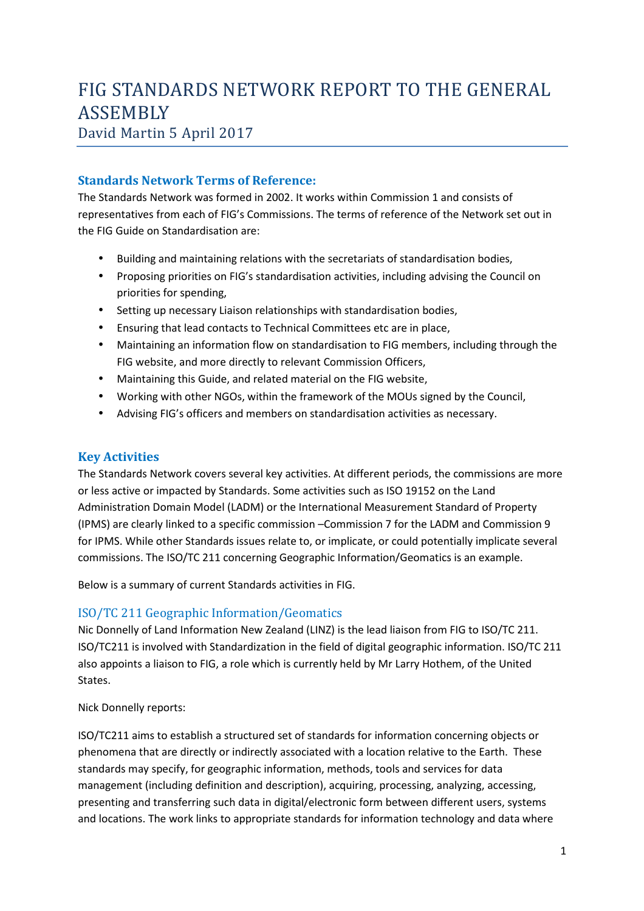# FIG STANDARDS NETWORK REPORT TO THE GENERAL ASSEMBLY

## David Martin 5 April 2017

## **Standards Network Terms of Reference:**

The Standards Network was formed in 2002. It works within Commission 1 and consists of representatives from each of FIG's Commissions. The terms of reference of the Network set out in the FIG Guide on Standardisation are:

- Building and maintaining relations with the secretariats of standardisation bodies,
- Proposing priorities on FIG's standardisation activities, including advising the Council on priorities for spending,
- Setting up necessary Liaison relationships with standardisation bodies,
- Ensuring that lead contacts to Technical Committees etc are in place,
- Maintaining an information flow on standardisation to FIG members, including through the FIG website, and more directly to relevant Commission Officers,
- Maintaining this Guide, and related material on the FIG website,
- Working with other NGOs, within the framework of the MOUs signed by the Council,
- Advising FIG's officers and members on standardisation activities as necessary.

## **Key Activities**

The Standards Network covers several key activities. At different periods, the commissions are more or less active or impacted by Standards. Some activities such as ISO 19152 on the Land Administration Domain Model (LADM) or the International Measurement Standard of Property (IPMS) are clearly linked to a specific commission –Commission 7 for the LADM and Commission 9 for IPMS. While other Standards issues relate to, or implicate, or could potentially implicate several commissions. The ISO/TC 211 concerning Geographic Information/Geomatics is an example.

Below is a summary of current Standards activities in FIG.

## ISO/TC 211 Geographic Information/Geomatics

Nic Donnelly of Land Information New Zealand (LINZ) is the lead liaison from FIG to ISO/TC 211. ISO/TC211 is involved with Standardization in the field of digital geographic information. ISO/TC 211 also appoints a liaison to FIG, a role which is currently held by Mr Larry Hothem, of the United States.

Nick Donnelly reports:

ISO/TC211 aims to establish a structured set of standards for information concerning objects or phenomena that are directly or indirectly associated with a location relative to the Earth. These standards may specify, for geographic information, methods, tools and services for data management (including definition and description), acquiring, processing, analyzing, accessing, presenting and transferring such data in digital/electronic form between different users, systems and locations. The work links to appropriate standards for information technology and data where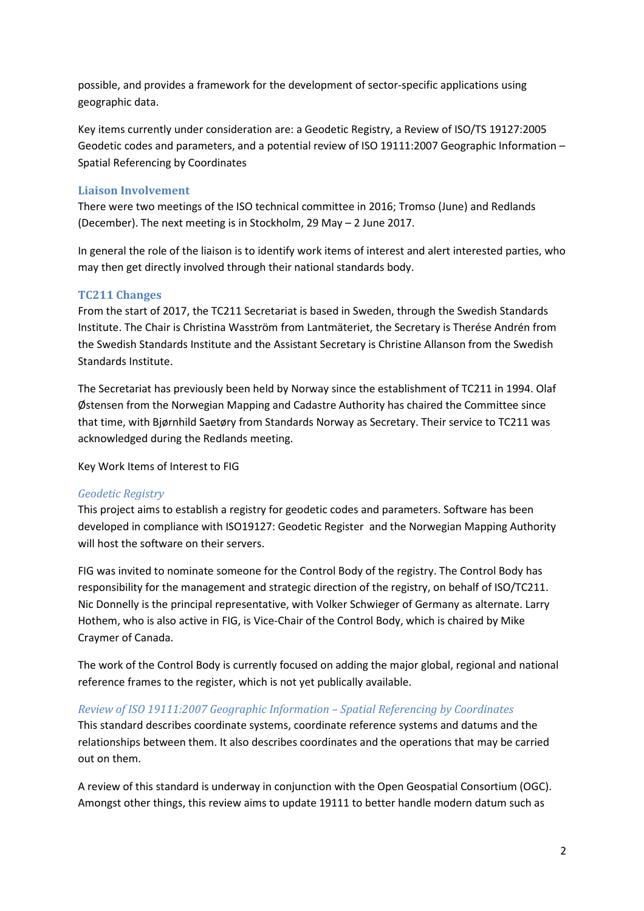possible, and provides a framework for the development of sector-specific applications using geographic data.

Key items currently under consideration are: a Geodetic Registry, a Review of ISO/TS 19127:2005 Geodetic codes and parameters, and a potential review of ISO 19111:2007 Geographic Information – Spatial Referencing by Coordinates

#### **Liaison Involvement**

There were two meetings of the ISO technical committee in 2016; Tromso (June) and Redlands (December). The next meeting is in Stockholm, 29 May – 2 June 2017.

In general the role of the liaison is to identify work items of interest and alert interested parties, who may then get directly involved through their national standards body.

#### **TC211 Changes**

From the start of 2017, the TC211 Secretariat is based in Sweden, through the Swedish Standards Institute. The Chair is Christina Wasström from Lantmäteriet, the Secretary is Therése Andrén from the Swedish Standards Institute and the Assistant Secretary is Christine Allanson from the Swedish Standards Institute.

The Secretariat has previously been held by Norway since the establishment of TC211 in 1994. Olaf Østensen from the Norwegian Mapping and Cadastre Authority has chaired the Committee since that time, with Bjørnhild Saetøry from Standards Norway as Secretary. Their service to TC211 was acknowledged during the Redlands meeting.

Key Work Items of Interest to FIG

#### *Geodetic Registry*

This project aims to establish a registry for geodetic codes and parameters. Software has been developed in compliance with ISO19127: Geodetic Register and the Norwegian Mapping Authority will host the software on their servers.

FIG was invited to nominate someone for the Control Body of the registry. The Control Body has responsibility for the management and strategic direction of the registry, on behalf of ISO/TC211. Nic Donnelly is the principal representative, with Volker Schwieger of Germany as alternate. Larry Hothem, who is also active in FIG, is Vice-Chair of the Control Body, which is chaired by Mike Craymer of Canada.

The work of the Control Body is currently focused on adding the major global, regional and national reference frames to the register, which is not yet publically available.

#### *Review of ISO 19111:2007 Geographic Information – Spatial Referencing by Coordinates*

This standard describes coordinate systems, coordinate reference systems and datums and the relationships between them. It also describes coordinates and the operations that may be carried out on them.

A review of this standard is underway in conjunction with the Open Geospatial Consortium (OGC). Amongst other things, this review aims to update 19111 to better handle modern datum such as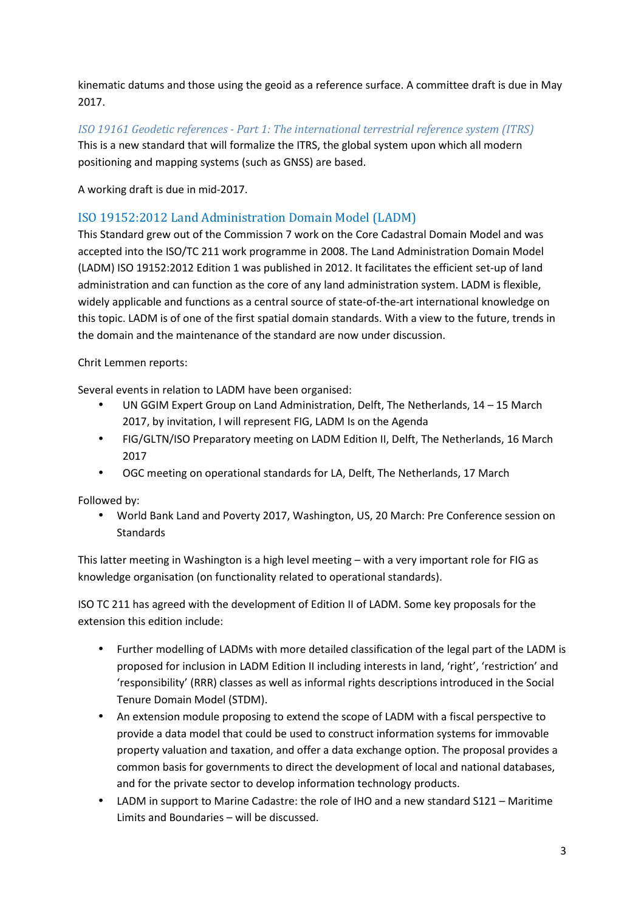kinematic datums and those using the geoid as a reference surface. A committee draft is due in May 2017.

*ISO 19161 Geodetic references - Part 1: The international terrestrial reference system (ITRS)*  This is a new standard that will formalize the ITRS, the global system upon which all modern positioning and mapping systems (such as GNSS) are based.

A working draft is due in mid-2017.

### ISO 19152:2012 Land Administration Domain Model (LADM)

This Standard grew out of the Commission 7 work on the Core Cadastral Domain Model and was accepted into the ISO/TC 211 work programme in 2008. The Land Administration Domain Model (LADM) ISO 19152:2012 Edition 1 was published in 2012. It facilitates the efficient set-up of land administration and can function as the core of any land administration system. LADM is flexible, widely applicable and functions as a central source of state-of-the-art international knowledge on this topic. LADM is of one of the first spatial domain standards. With a view to the future, trends in the domain and the maintenance of the standard are now under discussion.

Chrit Lemmen reports:

Several events in relation to LADM have been organised:

- UN GGIM Expert Group on Land Administration, Delft, The Netherlands, 14 15 March 2017, by invitation, I will represent FIG, LADM Is on the Agenda
- FIG/GLTN/ISO Preparatory meeting on LADM Edition II, Delft, The Netherlands, 16 March 2017
- OGC meeting on operational standards for LA, Delft, The Netherlands, 17 March

Followed by:

• World Bank Land and Poverty 2017, Washington, US, 20 March: Pre Conference session on **Standards** 

This latter meeting in Washington is a high level meeting – with a very important role for FIG as knowledge organisation (on functionality related to operational standards).

ISO TC 211 has agreed with the development of Edition II of LADM. Some key proposals for the extension this edition include:

- Further modelling of LADMs with more detailed classification of the legal part of the LADM is proposed for inclusion in LADM Edition II including interests in land, 'right', 'restriction' and 'responsibility' (RRR) classes as well as informal rights descriptions introduced in the Social Tenure Domain Model (STDM).
- An extension module proposing to extend the scope of LADM with a fiscal perspective to provide a data model that could be used to construct information systems for immovable property valuation and taxation, and offer a data exchange option. The proposal provides a common basis for governments to direct the development of local and national databases, and for the private sector to develop information technology products.
- LADM in support to Marine Cadastre: the role of IHO and a new standard S121 Maritime Limits and Boundaries – will be discussed.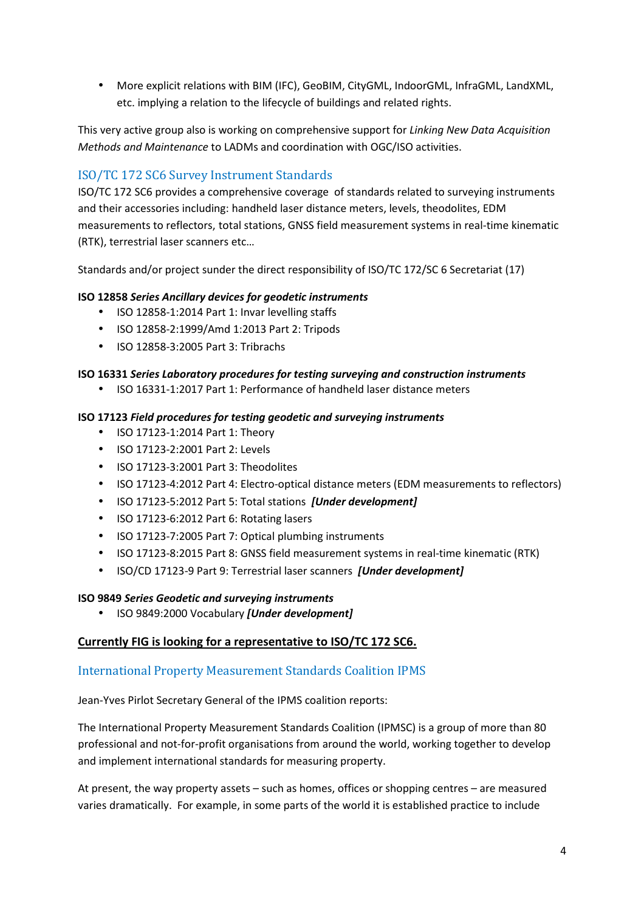• More explicit relations with BIM (IFC), GeoBIM, CityGML, IndoorGML, InfraGML, LandXML, etc. implying a relation to the lifecycle of buildings and related rights.

This very active group also is working on comprehensive support for *Linking New Data Acquisition Methods and Maintenance* to LADMs and coordination with OGC/ISO activities.

## ISO/TC 172 SC6 Survey Instrument Standards

ISO/TC 172 SC6 provides a comprehensive coverage of standards related to surveying instruments and their accessories including: handheld laser distance meters, levels, theodolites, EDM measurements to reflectors, total stations, GNSS field measurement systems in real-time kinematic (RTK), terrestrial laser scanners etc…

Standards and/or project sunder the direct responsibility of ISO/TC 172/SC 6 Secretariat (17)

#### **ISO 12858** *Series Ancillary devices for geodetic instruments*

- ISO 12858-1:2014 Part 1: Invar levelling staffs
- ISO 12858-2:1999/Amd 1:2013 Part 2: Tripods
- ISO 12858-3:2005 Part 3: Tribrachs

#### **ISO 16331** *Series Laboratory procedures for testing surveying and construction instruments*

• ISO 16331-1:2017 Part 1: Performance of handheld laser distance meters

#### **ISO 17123** *Field procedures for testing geodetic and surveying instruments*

- ISO 17123-1:2014 Part 1: Theory
- ISO 17123-2:2001 Part 2: Levels
- ISO 17123-3:2001 Part 3: Theodolites
- ISO 17123-4:2012 Part 4: Electro-optical distance meters (EDM measurements to reflectors)
- ISO 17123-5:2012 Part 5: Total stations *[Under development]*
- ISO 17123-6:2012 Part 6: Rotating lasers
- ISO 17123-7:2005 Part 7: Optical plumbing instruments
- ISO 17123-8:2015 Part 8: GNSS field measurement systems in real-time kinematic (RTK)
- ISO/CD 17123-9 Part 9: Terrestrial laser scanners *[Under development]*

#### **ISO 9849** *Series Geodetic and surveying instruments*

• ISO 9849:2000 Vocabulary *[Under development]*

#### **Currently FIG is looking for a representative to ISO/TC 172 SC6.**

#### International Property Measurement Standards Coalition IPMS

Jean-Yves Pirlot Secretary General of the IPMS coalition reports:

The International Property Measurement Standards Coalition (IPMSC) is a group of more than 80 professional and not-for-profit organisations from around the world, working together to develop and implement international standards for measuring property.

At present, the way property assets – such as homes, offices or shopping centres – are measured varies dramatically. For example, in some parts of the world it is established practice to include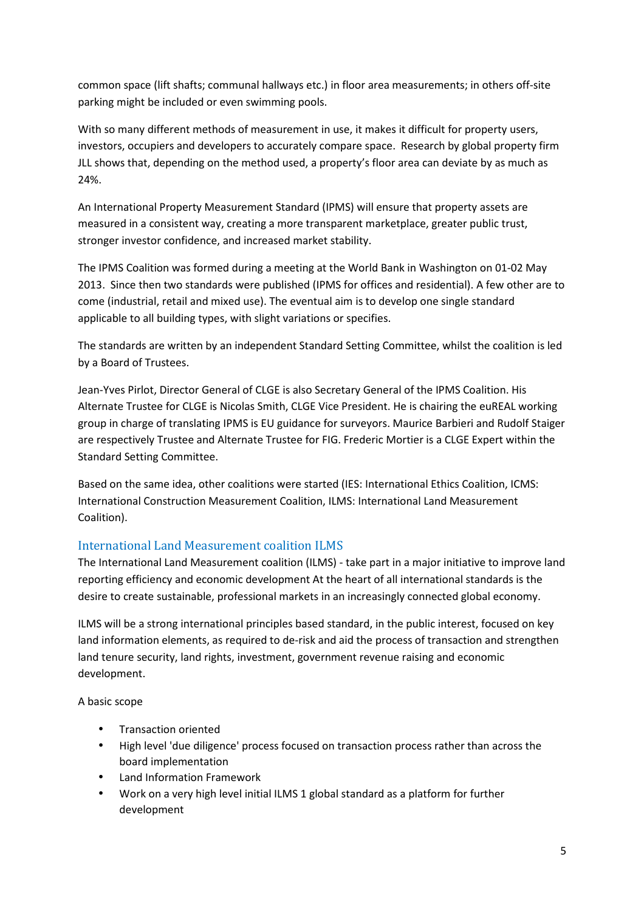common space (lift shafts; communal hallways etc.) in floor area measurements; in others off-site parking might be included or even swimming pools.

With so many different methods of measurement in use, it makes it difficult for property users, investors, occupiers and developers to accurately compare space. Research by global property firm JLL shows that, depending on the method used, a property's floor area can deviate by as much as 24%.

An International Property Measurement Standard (IPMS) will ensure that property assets are measured in a consistent way, creating a more transparent marketplace, greater public trust, stronger investor confidence, and increased market stability.

The IPMS Coalition was formed during a meeting at the World Bank in Washington on 01-02 May 2013. Since then two standards were published (IPMS for offices and residential). A few other are to come (industrial, retail and mixed use). The eventual aim is to develop one single standard applicable to all building types, with slight variations or specifies.

The standards are written by an independent Standard Setting Committee, whilst the coalition is led by a Board of Trustees.

Jean-Yves Pirlot, Director General of CLGE is also Secretary General of the IPMS Coalition. His Alternate Trustee for CLGE is Nicolas Smith, CLGE Vice President. He is chairing the euREAL working group in charge of translating IPMS is EU guidance for surveyors. Maurice Barbieri and Rudolf Staiger are respectively Trustee and Alternate Trustee for FIG. Frederic Mortier is a CLGE Expert within the Standard Setting Committee.

Based on the same idea, other coalitions were started (IES: International Ethics Coalition, ICMS: International Construction Measurement Coalition, ILMS: International Land Measurement Coalition).

## International Land Measurement coalition ILMS

The International Land Measurement coalition (ILMS) - take part in a major initiative to improve land reporting efficiency and economic development At the heart of all international standards is the desire to create sustainable, professional markets in an increasingly connected global economy.

ILMS will be a strong international principles based standard, in the public interest, focused on key land information elements, as required to de-risk and aid the process of transaction and strengthen land tenure security, land rights, investment, government revenue raising and economic development.

A basic scope

- Transaction oriented
- High level 'due diligence' process focused on transaction process rather than across the board implementation
- Land Information Framework
- Work on a very high level initial ILMS 1 global standard as a platform for further development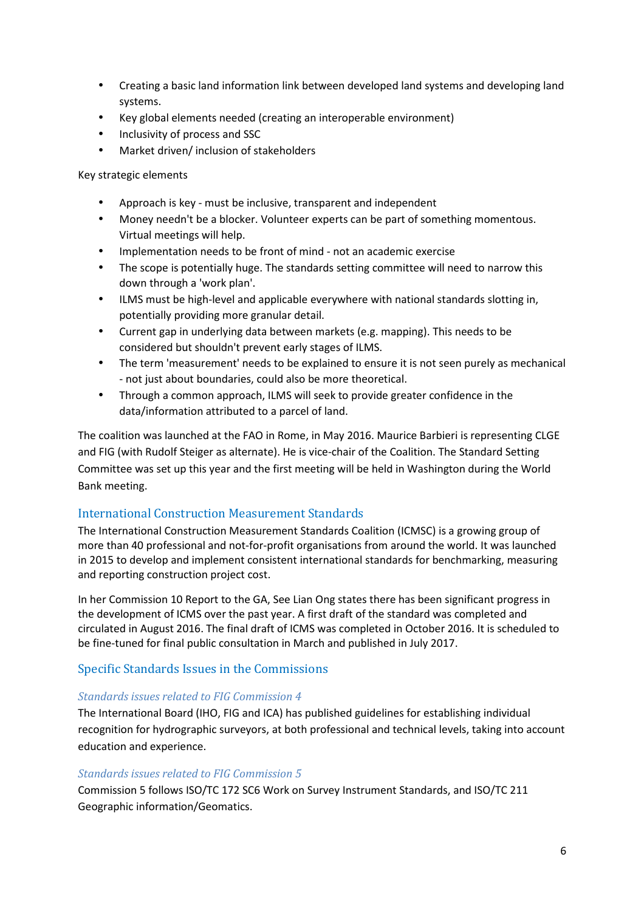- Creating a basic land information link between developed land systems and developing land systems.
- Key global elements needed (creating an interoperable environment)
- Inclusivity of process and SSC
- Market driven/ inclusion of stakeholders

Key strategic elements

- Approach is key must be inclusive, transparent and independent
- Money needn't be a blocker. Volunteer experts can be part of something momentous. Virtual meetings will help.
- Implementation needs to be front of mind not an academic exercise
- The scope is potentially huge. The standards setting committee will need to narrow this down through a 'work plan'.
- ILMS must be high-level and applicable everywhere with national standards slotting in, potentially providing more granular detail.
- Current gap in underlying data between markets (e.g. mapping). This needs to be considered but shouldn't prevent early stages of ILMS.
- The term 'measurement' needs to be explained to ensure it is not seen purely as mechanical - not just about boundaries, could also be more theoretical.
- Through a common approach, ILMS will seek to provide greater confidence in the data/information attributed to a parcel of land.

The coalition was launched at the FAO in Rome, in May 2016. Maurice Barbieri is representing CLGE and FIG (with Rudolf Steiger as alternate). He is vice-chair of the Coalition. The Standard Setting Committee was set up this year and the first meeting will be held in Washington during the World Bank meeting.

#### International Construction Measurement Standards

The International Construction Measurement Standards Coalition (ICMSC) is a growing group of more than 40 professional and not-for-profit organisations from around the world. It was launched in 2015 to develop and implement consistent international standards for benchmarking, measuring and reporting construction project cost.

In her Commission 10 Report to the GA, See Lian Ong states there has been significant progress in the development of ICMS over the past year. A first draft of the standard was completed and circulated in August 2016. The final draft of ICMS was completed in October 2016. It is scheduled to be fine-tuned for final public consultation in March and published in July 2017.

#### Specific Standards Issues in the Commissions

#### *Standards issues related to FIG Commission 4*

The International Board (IHO, FIG and ICA) has published guidelines for establishing individual recognition for hydrographic surveyors, at both professional and technical levels, taking into account education and experience.

#### *Standards issues related to FIG Commission 5*

Commission 5 follows ISO/TC 172 SC6 Work on Survey Instrument Standards, and ISO/TC 211 Geographic information/Geomatics.